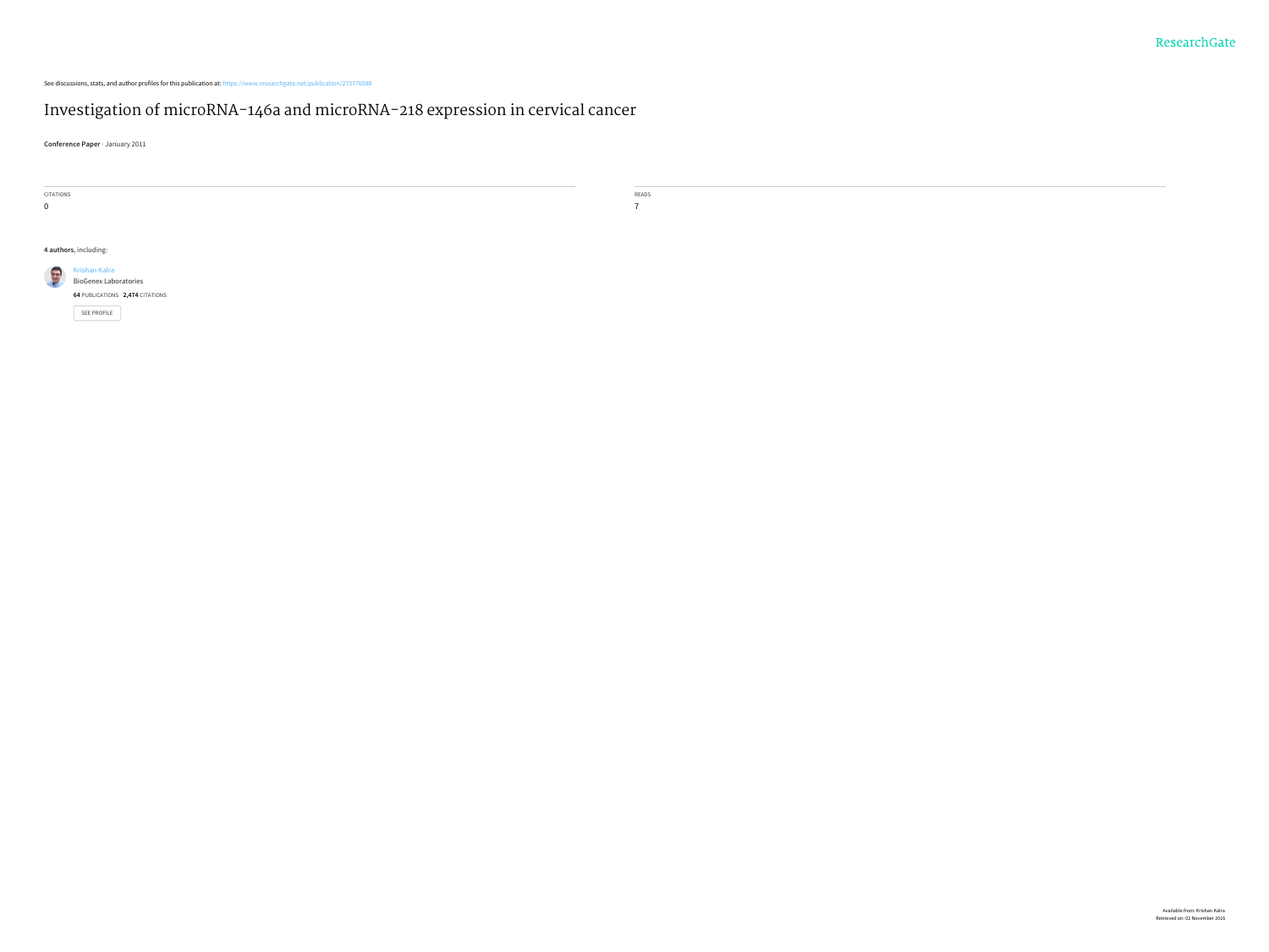See discussions, stats, and author profiles for this publication at: [https://www.researchgate.net/publication/273776588](https://www.researchgate.net/publication/273776588_Investigation_of_microRNA-146a_and_microRNA-218_expression_in_cervical_cancer?enrichId=rgreq-07a8c9b235172fb8aff77c41bd857c27-XXX&enrichSource=Y292ZXJQYWdlOzI3Mzc3NjU4ODtBUzoyMDk0MTM0MjUxMTEwNDVAMTQyNjkzOTQ1OTkwOA%3D%3D&el=1_x_2)

#### Investigation of [microRNA-146a](https://www.researchgate.net/publication/273776588_Investigation_of_microRNA-146a_and_microRNA-218_expression_in_cervical_cancer?enrichId=rgreq-07a8c9b235172fb8aff77c41bd857c27-XXX&enrichSource=Y292ZXJQYWdlOzI3Mzc3NjU4ODtBUzoyMDk0MTM0MjUxMTEwNDVAMTQyNjkzOTQ1OTkwOA%3D%3D&el=1_x_3) and microRNA-218 expression in cervical cancer

**Conference Paper** · January 2011

| CITATIONS |                                 | the control of the control of the con-<br>READS |
|-----------|---------------------------------|-------------------------------------------------|
| 0         |                                 | $\overline{ }$                                  |
|           |                                 |                                                 |
|           |                                 |                                                 |
|           | 4 authors, including:           |                                                 |
| GUY       | Krishan Kalra                   |                                                 |
|           | <b>BioGenex Laboratories</b>    |                                                 |
|           | 64 PUBLICATIONS 2,474 CITATIONS |                                                 |
|           | <b>SEE PROFILE</b>              |                                                 |
|           |                                 |                                                 |
|           |                                 |                                                 |